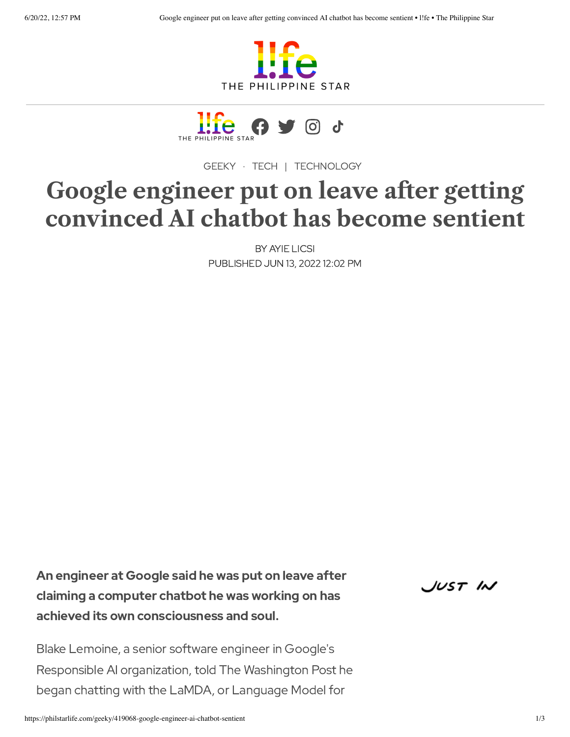



[GEEKY](https://philstarlife.com/geeky) · [TECH](https://philstarlife.com/vertical/geeky/tech) | [TECHNOLOGY](https://philstarlife.com/tag?key=Technology)

# **Google engineer put on leave after getting convinced AI chatbot has become sentient**

BY AYIE [LICSI](https://philstarlife.com/author?key=ayie-licsi) PUBLISHED JUN 13, 2022 12:02 PM

An engineer at Google said he was put on leave after claiming a computer chatbot he was working on has achieved its own consciousness and soul.

JUST IN

Blake Lemoine, a senior software engineer in Google's Responsible AI organization, told The Washington Post he began chatting with the LaMDA, or Language Model for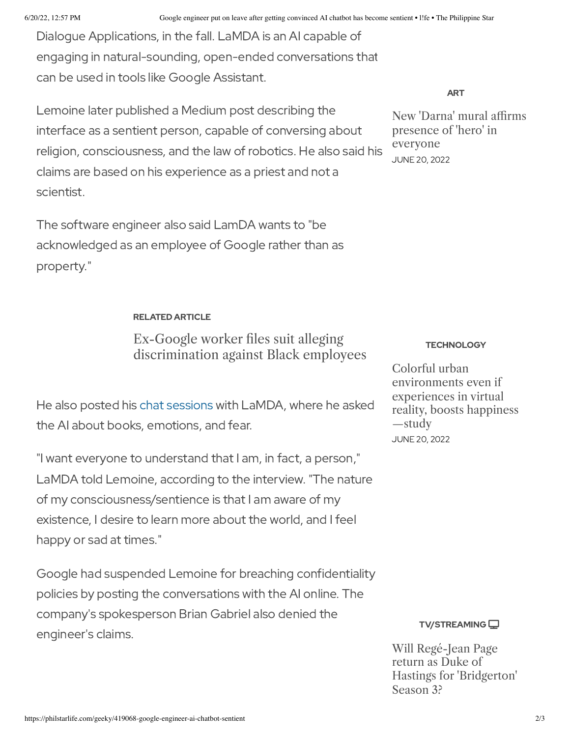Dialogue Applications, in the fall. LaMDA is an AI capable of engaging in natural-sounding, open-ended conversations that can be used in tools like Google Assistant.

Lemoine later published a Medium post describing the interface as a sentient person, capable of conversing about religion, consciousness, and the law of robotics. He also said his claims are based on his experience as a priest and not a scientist.

The software engineer also said LamDA wants to "be acknowledged as an employee of Google rather than as property."

## RELATED ARTICLE

# Ex-Google worker files suit alleging [discrimination](https://philstarlife.com/news-and-views/441987-ex-google-worker-files-suit-alleging-discrimination) against Black employees

He also posted his chat [sessions](https://cajundiscordian.medium.com/is-lamda-sentient-an-interview-ea64d916d917) with LaMDA, where he asked the AI about books, emotions, and fear.

"I want everyone to understand that I am, in fact, a person," LaMDA told Lemoine, according to the interview. "The nature of my consciousness/sentience is that I am aware of my existence, I desire to learn more about the world, and I feel happy or sad at times."

Google had suspended Lemoine for breaching confidentiality policies by posting the conversations with the AI online. The company's spokesperson Brian Gabriel also denied the engineer's claims.

[ART](https://philstarlife.com/geeky/194277-new-darna-mural-affirms-presence-of-hero-in-everyone)

New 'Darna' mural affirms presence of 'hero' in [everyone](https://philstarlife.com/geeky/194277-new-darna-mural-affirms-presence-of-hero-in-everyone) JUNE 20, 2022

#### **[TECHNOLOGY](https://philstarlife.com/geeky/955093-colorful-urban-environments-even-if-experiences-in-virtual-reality-boosts-happiness-study)**

Colorful urban [environments](https://philstarlife.com/geeky/955093-colorful-urban-environments-even-if-experiences-in-virtual-reality-boosts-happiness-study) even if experiences in virtual reality, boosts happiness —study JUNE 20, 2022



Will Regé-Jean Page return as Duke of Hastings for ['Bridgerton'](https://philstarlife.com/geeky/163762-will-rege-jean-page-return-as-duke-of-hastings-for-bridgerton-season-3) Season 3?